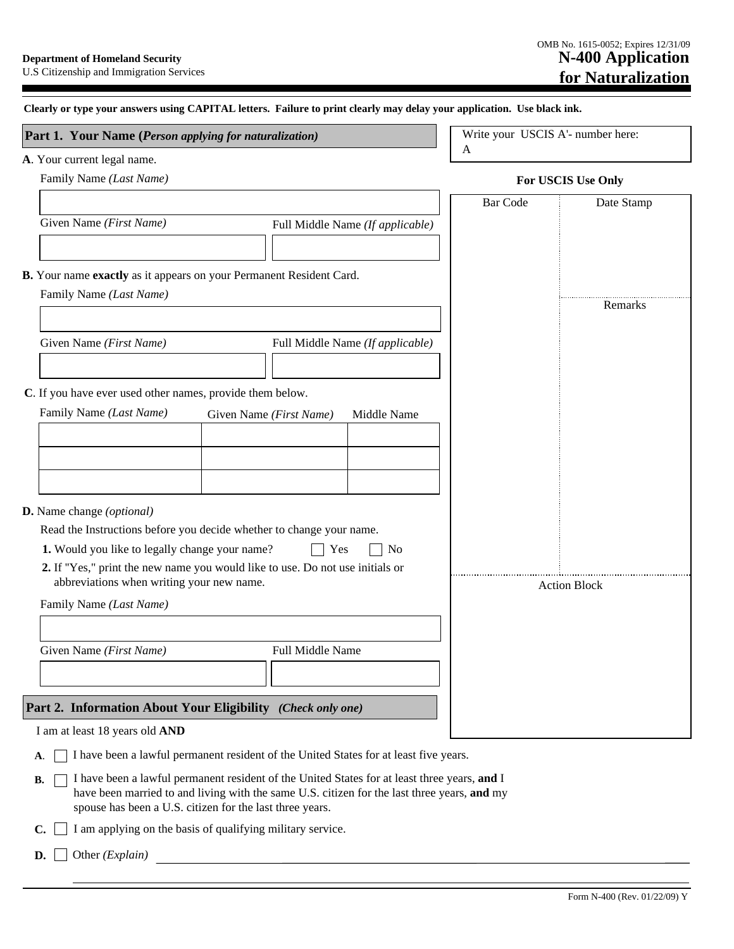| Write your USCIS A'- number here:<br>Part 1. Your Name (Person applying for naturalization)<br>A<br>A. Your current legal name.<br>Family Name (Last Name)<br>For USCIS Use Only<br><b>Bar Code</b><br>Date Stamp<br>Given Name (First Name)<br>Full Middle Name (If applicable)<br>B. Your name exactly as it appears on your Permanent Resident Card.<br>Family Name (Last Name)<br>Remarks<br>Given Name (First Name)<br>Full Middle Name (If applicable)<br>C. If you have ever used other names, provide them below.<br>Family Name (Last Name)<br>Middle Name<br>Given Name (First Name)<br>D. Name change (optional)<br>Read the Instructions before you decide whether to change your name.<br>1. Would you like to legally change your name?<br>Yes<br>N <sub>0</sub><br>2. If "Yes," print the new name you would like to use. Do not use initials or<br>abbreviations when writing your new name.<br><b>Action Block</b><br>Family Name (Last Name)<br>Given Name (First Name)<br><b>Full Middle Name</b><br>Part 2. Information About Your Eligibility (Check only one)<br>I am at least 18 years old AND<br>I have been a lawful permanent resident of the United States for at least five years.<br>A. | Clearly or type your answers using CAPITAL letters. Failure to print clearly may delay your application. Use black ink. |  |
|----------------------------------------------------------------------------------------------------------------------------------------------------------------------------------------------------------------------------------------------------------------------------------------------------------------------------------------------------------------------------------------------------------------------------------------------------------------------------------------------------------------------------------------------------------------------------------------------------------------------------------------------------------------------------------------------------------------------------------------------------------------------------------------------------------------------------------------------------------------------------------------------------------------------------------------------------------------------------------------------------------------------------------------------------------------------------------------------------------------------------------------------------------------------------------------------------------------------|-------------------------------------------------------------------------------------------------------------------------|--|
|                                                                                                                                                                                                                                                                                                                                                                                                                                                                                                                                                                                                                                                                                                                                                                                                                                                                                                                                                                                                                                                                                                                                                                                                                      |                                                                                                                         |  |
|                                                                                                                                                                                                                                                                                                                                                                                                                                                                                                                                                                                                                                                                                                                                                                                                                                                                                                                                                                                                                                                                                                                                                                                                                      |                                                                                                                         |  |
|                                                                                                                                                                                                                                                                                                                                                                                                                                                                                                                                                                                                                                                                                                                                                                                                                                                                                                                                                                                                                                                                                                                                                                                                                      |                                                                                                                         |  |
|                                                                                                                                                                                                                                                                                                                                                                                                                                                                                                                                                                                                                                                                                                                                                                                                                                                                                                                                                                                                                                                                                                                                                                                                                      |                                                                                                                         |  |
|                                                                                                                                                                                                                                                                                                                                                                                                                                                                                                                                                                                                                                                                                                                                                                                                                                                                                                                                                                                                                                                                                                                                                                                                                      |                                                                                                                         |  |
|                                                                                                                                                                                                                                                                                                                                                                                                                                                                                                                                                                                                                                                                                                                                                                                                                                                                                                                                                                                                                                                                                                                                                                                                                      |                                                                                                                         |  |
|                                                                                                                                                                                                                                                                                                                                                                                                                                                                                                                                                                                                                                                                                                                                                                                                                                                                                                                                                                                                                                                                                                                                                                                                                      |                                                                                                                         |  |
|                                                                                                                                                                                                                                                                                                                                                                                                                                                                                                                                                                                                                                                                                                                                                                                                                                                                                                                                                                                                                                                                                                                                                                                                                      |                                                                                                                         |  |
|                                                                                                                                                                                                                                                                                                                                                                                                                                                                                                                                                                                                                                                                                                                                                                                                                                                                                                                                                                                                                                                                                                                                                                                                                      |                                                                                                                         |  |
|                                                                                                                                                                                                                                                                                                                                                                                                                                                                                                                                                                                                                                                                                                                                                                                                                                                                                                                                                                                                                                                                                                                                                                                                                      |                                                                                                                         |  |
|                                                                                                                                                                                                                                                                                                                                                                                                                                                                                                                                                                                                                                                                                                                                                                                                                                                                                                                                                                                                                                                                                                                                                                                                                      |                                                                                                                         |  |
|                                                                                                                                                                                                                                                                                                                                                                                                                                                                                                                                                                                                                                                                                                                                                                                                                                                                                                                                                                                                                                                                                                                                                                                                                      |                                                                                                                         |  |
|                                                                                                                                                                                                                                                                                                                                                                                                                                                                                                                                                                                                                                                                                                                                                                                                                                                                                                                                                                                                                                                                                                                                                                                                                      |                                                                                                                         |  |
|                                                                                                                                                                                                                                                                                                                                                                                                                                                                                                                                                                                                                                                                                                                                                                                                                                                                                                                                                                                                                                                                                                                                                                                                                      |                                                                                                                         |  |
|                                                                                                                                                                                                                                                                                                                                                                                                                                                                                                                                                                                                                                                                                                                                                                                                                                                                                                                                                                                                                                                                                                                                                                                                                      |                                                                                                                         |  |
|                                                                                                                                                                                                                                                                                                                                                                                                                                                                                                                                                                                                                                                                                                                                                                                                                                                                                                                                                                                                                                                                                                                                                                                                                      |                                                                                                                         |  |
|                                                                                                                                                                                                                                                                                                                                                                                                                                                                                                                                                                                                                                                                                                                                                                                                                                                                                                                                                                                                                                                                                                                                                                                                                      |                                                                                                                         |  |
|                                                                                                                                                                                                                                                                                                                                                                                                                                                                                                                                                                                                                                                                                                                                                                                                                                                                                                                                                                                                                                                                                                                                                                                                                      |                                                                                                                         |  |
|                                                                                                                                                                                                                                                                                                                                                                                                                                                                                                                                                                                                                                                                                                                                                                                                                                                                                                                                                                                                                                                                                                                                                                                                                      |                                                                                                                         |  |
|                                                                                                                                                                                                                                                                                                                                                                                                                                                                                                                                                                                                                                                                                                                                                                                                                                                                                                                                                                                                                                                                                                                                                                                                                      |                                                                                                                         |  |
|                                                                                                                                                                                                                                                                                                                                                                                                                                                                                                                                                                                                                                                                                                                                                                                                                                                                                                                                                                                                                                                                                                                                                                                                                      |                                                                                                                         |  |
|                                                                                                                                                                                                                                                                                                                                                                                                                                                                                                                                                                                                                                                                                                                                                                                                                                                                                                                                                                                                                                                                                                                                                                                                                      |                                                                                                                         |  |
|                                                                                                                                                                                                                                                                                                                                                                                                                                                                                                                                                                                                                                                                                                                                                                                                                                                                                                                                                                                                                                                                                                                                                                                                                      |                                                                                                                         |  |
|                                                                                                                                                                                                                                                                                                                                                                                                                                                                                                                                                                                                                                                                                                                                                                                                                                                                                                                                                                                                                                                                                                                                                                                                                      |                                                                                                                         |  |
|                                                                                                                                                                                                                                                                                                                                                                                                                                                                                                                                                                                                                                                                                                                                                                                                                                                                                                                                                                                                                                                                                                                                                                                                                      |                                                                                                                         |  |
|                                                                                                                                                                                                                                                                                                                                                                                                                                                                                                                                                                                                                                                                                                                                                                                                                                                                                                                                                                                                                                                                                                                                                                                                                      |                                                                                                                         |  |
|                                                                                                                                                                                                                                                                                                                                                                                                                                                                                                                                                                                                                                                                                                                                                                                                                                                                                                                                                                                                                                                                                                                                                                                                                      |                                                                                                                         |  |
|                                                                                                                                                                                                                                                                                                                                                                                                                                                                                                                                                                                                                                                                                                                                                                                                                                                                                                                                                                                                                                                                                                                                                                                                                      |                                                                                                                         |  |
| I have been a lawful permanent resident of the United States for at least three years, and I<br>В.                                                                                                                                                                                                                                                                                                                                                                                                                                                                                                                                                                                                                                                                                                                                                                                                                                                                                                                                                                                                                                                                                                                   |                                                                                                                         |  |

have been married to and living with the same U.S. citizen for the last three years, and my spouse has been a U.S. citizen for the last three years.

 $\mathbf{C}$ .  $\Box$  I am applying on the basis of qualifying military service.

**D.**  $\Box$  Other (*Explain*)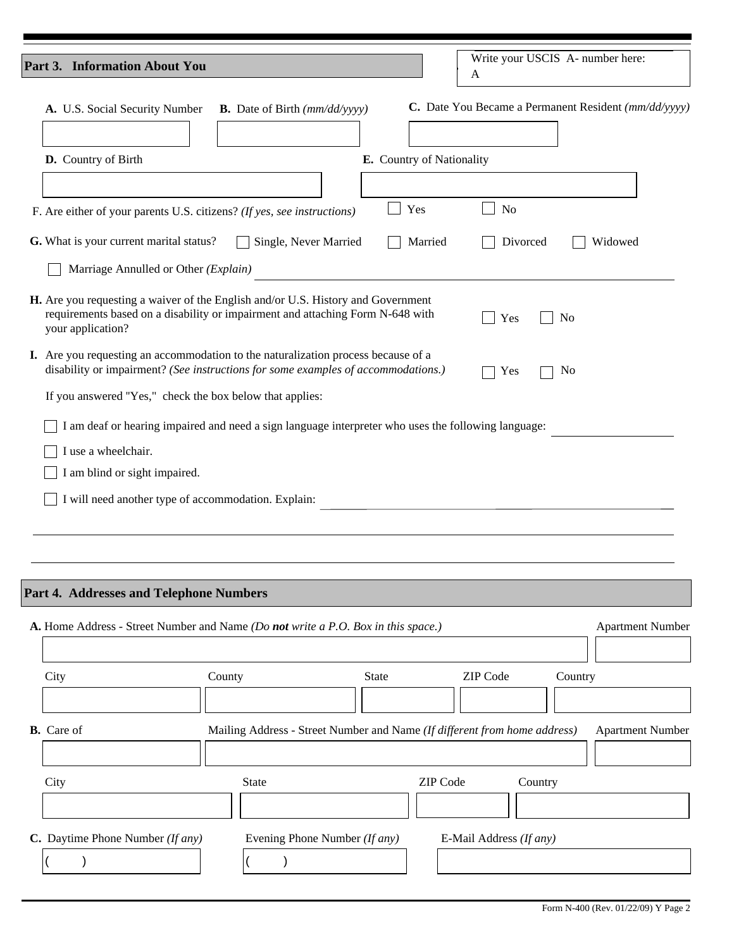| Part 3. Information About You                                                                                                                                                           |                                                          |                               | Write your USCIS A- number here:<br>A                                     |                         |
|-----------------------------------------------------------------------------------------------------------------------------------------------------------------------------------------|----------------------------------------------------------|-------------------------------|---------------------------------------------------------------------------|-------------------------|
| A. U.S. Social Security Number                                                                                                                                                          | <b>B.</b> Date of Birth $\text{mm}/\text{dd}/\text{yyy}$ |                               | C. Date You Became a Permanent Resident (mm/dd/yyyy)                      |                         |
| D. Country of Birth                                                                                                                                                                     |                                                          | E. Country of Nationality     |                                                                           |                         |
|                                                                                                                                                                                         |                                                          |                               |                                                                           |                         |
| F. Are either of your parents U.S. citizens? (If yes, see instructions)                                                                                                                 |                                                          | Yes                           | N <sub>o</sub>                                                            |                         |
| G. What is your current marital status?                                                                                                                                                 | Single, Never Married                                    | Married                       | Divorced                                                                  | Widowed                 |
| Marriage Annulled or Other (Explain)                                                                                                                                                    |                                                          |                               |                                                                           |                         |
| H. Are you requesting a waiver of the English and/or U.S. History and Government<br>requirements based on a disability or impairment and attaching Form N-648 with<br>your application? |                                                          |                               | Yes<br>N <sub>0</sub>                                                     |                         |
| I. Are you requesting an accommodation to the naturalization process because of a<br>disability or impairment? (See instructions for some examples of accommodations.)                  |                                                          |                               | No<br>Yes                                                                 |                         |
| If you answered "Yes," check the box below that applies:                                                                                                                                |                                                          |                               |                                                                           |                         |
| I am deaf or hearing impaired and need a sign language interpreter who uses the following language:                                                                                     |                                                          |                               |                                                                           |                         |
| I use a wheelchair.                                                                                                                                                                     |                                                          |                               |                                                                           |                         |
| I am blind or sight impaired.                                                                                                                                                           |                                                          |                               |                                                                           |                         |
| I will need another type of accommodation. Explain:                                                                                                                                     |                                                          |                               |                                                                           |                         |
|                                                                                                                                                                                         |                                                          |                               |                                                                           |                         |
|                                                                                                                                                                                         |                                                          |                               |                                                                           |                         |
| Part 4. Addresses and Telephone Numbers                                                                                                                                                 |                                                          |                               |                                                                           |                         |
| A. Home Address - Street Number and Name (Do not write a P.O. Box in this space.)                                                                                                       |                                                          |                               |                                                                           | <b>Apartment Number</b> |
|                                                                                                                                                                                         |                                                          |                               |                                                                           |                         |
| City                                                                                                                                                                                    | County                                                   | <b>State</b>                  | ZIP Code                                                                  | Country                 |
|                                                                                                                                                                                         |                                                          |                               |                                                                           |                         |
| <b>B.</b> Care of                                                                                                                                                                       |                                                          |                               | Mailing Address - Street Number and Name (If different from home address) | <b>Apartment Number</b> |
|                                                                                                                                                                                         |                                                          |                               |                                                                           |                         |
| City                                                                                                                                                                                    | <b>State</b>                                             |                               | ZIP Code<br>Country                                                       |                         |
|                                                                                                                                                                                         |                                                          |                               |                                                                           |                         |
| C. Daytime Phone Number (If any)                                                                                                                                                        |                                                          | Evening Phone Number (If any) | E-Mail Address (If any)                                                   |                         |
| $\mathcal{E}$                                                                                                                                                                           | $\mathcal{E}$                                            |                               |                                                                           |                         |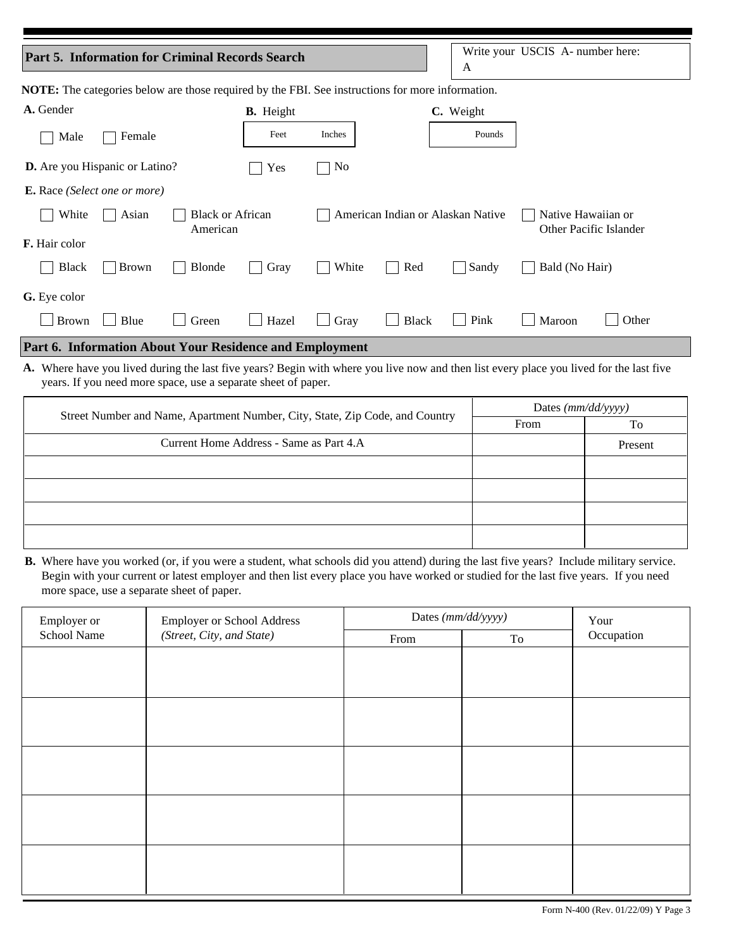| <b>Part 5. Information for Criminal Records Search</b>                                                                                                                                                   |                  |                      | A                                 | Write your USCIS A- number here: |           |                                              |  |  |
|----------------------------------------------------------------------------------------------------------------------------------------------------------------------------------------------------------|------------------|----------------------|-----------------------------------|----------------------------------|-----------|----------------------------------------------|--|--|
| <b>NOTE:</b> The categories below are those required by the FBI. See instructions for more information.                                                                                                  |                  |                      |                                   |                                  |           |                                              |  |  |
| A. Gender                                                                                                                                                                                                | <b>B.</b> Height |                      |                                   |                                  | C. Weight |                                              |  |  |
| Female<br>Male                                                                                                                                                                                           | Feet             | Inches               |                                   |                                  | Pounds    |                                              |  |  |
| D. Are you Hispanic or Latino?                                                                                                                                                                           | Yes              | N <sub>0</sub>       |                                   |                                  |           |                                              |  |  |
| <b>E.</b> Race (Select one or more)                                                                                                                                                                      |                  |                      |                                   |                                  |           |                                              |  |  |
| White<br><b>Black or African</b><br>Asian<br>American                                                                                                                                                    |                  |                      | American Indian or Alaskan Native |                                  |           | Native Hawaiian or<br>Other Pacific Islander |  |  |
| F. Hair color                                                                                                                                                                                            |                  |                      |                                   |                                  |           |                                              |  |  |
| <b>Black</b><br><b>Blonde</b><br><b>Brown</b>                                                                                                                                                            | Gray             | White                | Red                               |                                  | Sandy     | Bald (No Hair)                               |  |  |
| G. Eye color                                                                                                                                                                                             |                  |                      |                                   |                                  |           |                                              |  |  |
| <b>Brown</b><br>Blue<br>Green                                                                                                                                                                            | Hazel            | Gray<br>$\mathbf{I}$ | <b>Black</b>                      |                                  | Pink      | Other<br>Maroon                              |  |  |
| Part 6. Information About Your Residence and Employment                                                                                                                                                  |                  |                      |                                   |                                  |           |                                              |  |  |
| A. Where have you lived during the last five years? Begin with where you live now and then list every place you lived for the last five<br>years. If you need more space, use a separate sheet of paper. |                  |                      |                                   |                                  |           |                                              |  |  |
|                                                                                                                                                                                                          |                  |                      |                                   |                                  |           |                                              |  |  |

| Street Number and Name, Apartment Number, City, State, Zip Code, and Country | Dates $(mm/dd/yyyy)$ |         |  |
|------------------------------------------------------------------------------|----------------------|---------|--|
|                                                                              | From                 | To      |  |
| Current Home Address - Same as Part 4.A                                      |                      | Present |  |
|                                                                              |                      |         |  |
|                                                                              |                      |         |  |
|                                                                              |                      |         |  |
|                                                                              |                      |         |  |

B. Where have you worked (or, if you were a student, what schools did you attend) during the last five years? Include military service. Begin with your current or latest employer and then list every place you have worked or studied for the last five years. If you need more space, use a separate sheet of paper.

| Employer or | Employer or School Address | Dates (mm/dd/yyyy) | Your |            |
|-------------|----------------------------|--------------------|------|------------|
| School Name | (Street, City, and State)  | From               | To   | Occupation |
|             |                            |                    |      |            |
|             |                            |                    |      |            |
|             |                            |                    |      |            |
|             |                            |                    |      |            |
|             |                            |                    |      |            |
|             |                            |                    |      |            |
|             |                            |                    |      |            |
|             |                            |                    |      |            |
|             |                            |                    |      |            |
|             |                            |                    |      |            |
|             |                            |                    |      |            |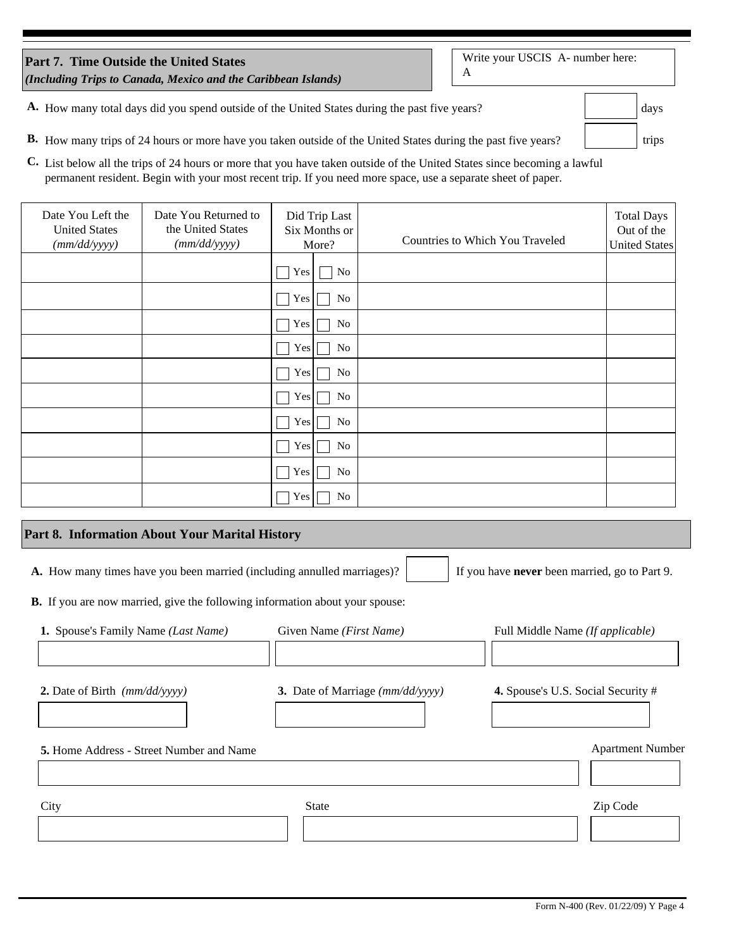| <b>Part 7. Time Outside the United States</b>                 |  |
|---------------------------------------------------------------|--|
| (Including Trips to Canada, Mexico and the Caribbean Islands) |  |

Write your USCIS A- number here:  $\mathbf A$ 

days

trips

| A. How many total days did you spend outside of the United States during the past five years? |  |
|-----------------------------------------------------------------------------------------------|--|
|-----------------------------------------------------------------------------------------------|--|

- B. How many trips of 24 hours or more have you taken outside of the United States during the past five years?
- C. List below all the trips of 24 hours or more that you have taken outside of the United States since becoming a lawful permanent resident. Begin with your most recent trip. If you need more space, use a separate sheet of paper.

| Date You Left the<br><b>United States</b><br>(mm/dd/yyyy) | Date You Returned to<br>the United States<br>(mm/dd/yyyy) |                  | Did Trip Last<br>Six Months or<br>More? | Countries to Which You Traveled | <b>Total Days</b><br>Out of the<br><b>United States</b> |
|-----------------------------------------------------------|-----------------------------------------------------------|------------------|-----------------------------------------|---------------------------------|---------------------------------------------------------|
|                                                           |                                                           | Yes              | No                                      |                                 |                                                         |
|                                                           |                                                           | Yes              | No                                      |                                 |                                                         |
|                                                           |                                                           | Yes              | No                                      |                                 |                                                         |
|                                                           |                                                           | Yes              | No                                      |                                 |                                                         |
|                                                           |                                                           | Yes              | No                                      |                                 |                                                         |
|                                                           |                                                           | Yes              | No                                      |                                 |                                                         |
|                                                           |                                                           | Yes              | No                                      |                                 |                                                         |
|                                                           |                                                           | Yes              | No                                      |                                 |                                                         |
|                                                           |                                                           | Yes <sup> </sup> | No                                      |                                 |                                                         |
|                                                           |                                                           | Yes              | No                                      |                                 |                                                         |

### Part 8. Information About Your Marital History

A. How many times have you been married (including annulled marriages)?

If you have never been married, go to Part 9.

B. If you are now married, give the following information about your spouse:

| 1. Spouse's Family Name ( <i>Last Name</i> )    | Given Name ( <i>First Name</i> ) | Full Middle Name (If applicable)   |
|-------------------------------------------------|----------------------------------|------------------------------------|
|                                                 |                                  |                                    |
| 2. Date of Birth $(mm/dd/yyyy)$                 | 3. Date of Marriage (mm/dd/yyyy) | 4. Spouse's U.S. Social Security # |
| <b>5.</b> Home Address - Street Number and Name |                                  | <b>Apartment Number</b>            |
|                                                 |                                  |                                    |
| City                                            | <b>State</b>                     | Zip Code                           |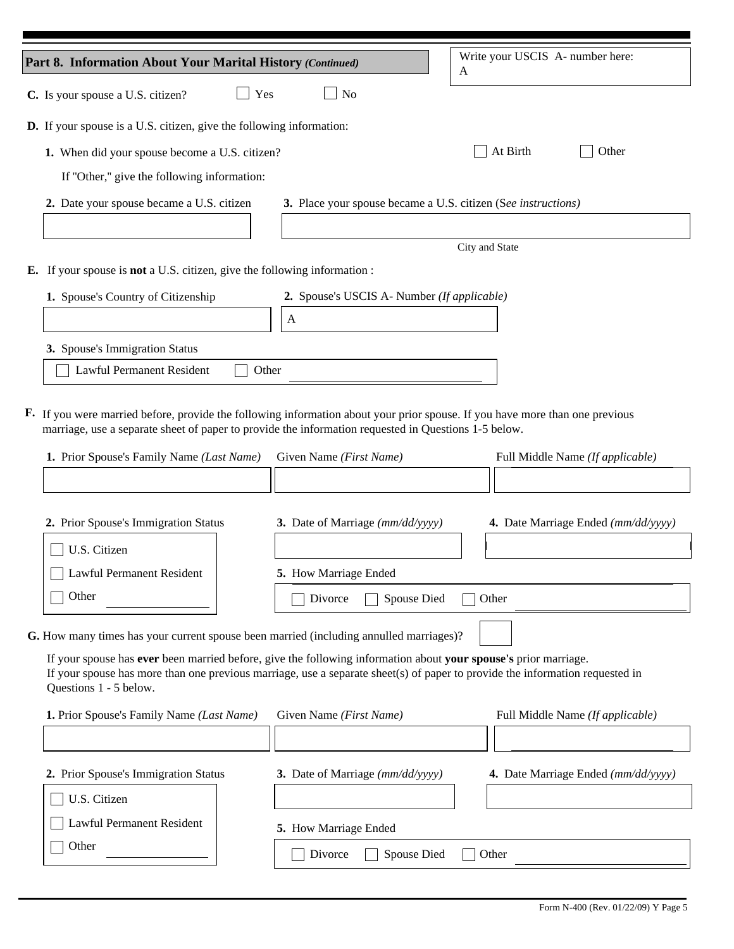|                                                                                                                                                                                                                                                                           |                                                               | Write your USCIS A- number here:    |  |  |  |  |
|---------------------------------------------------------------------------------------------------------------------------------------------------------------------------------------------------------------------------------------------------------------------------|---------------------------------------------------------------|-------------------------------------|--|--|--|--|
| Part 8. Information About Your Marital History (Continued)                                                                                                                                                                                                                |                                                               | A                                   |  |  |  |  |
| Yes<br>C. Is your spouse a U.S. citizen?                                                                                                                                                                                                                                  | No                                                            |                                     |  |  |  |  |
| <b>D.</b> If your spouse is a U.S. citizen, give the following information:                                                                                                                                                                                               |                                                               |                                     |  |  |  |  |
| 1. When did your spouse become a U.S. citizen?                                                                                                                                                                                                                            |                                                               | At Birth<br>Other                   |  |  |  |  |
| If "Other," give the following information:                                                                                                                                                                                                                               |                                                               |                                     |  |  |  |  |
| 2. Date your spouse became a U.S. citizen                                                                                                                                                                                                                                 | 3. Place your spouse became a U.S. citizen (See instructions) |                                     |  |  |  |  |
|                                                                                                                                                                                                                                                                           |                                                               |                                     |  |  |  |  |
|                                                                                                                                                                                                                                                                           |                                                               | City and State                      |  |  |  |  |
| <b>E.</b> If your spouse is <b>not</b> a U.S. citizen, give the following information :                                                                                                                                                                                   |                                                               |                                     |  |  |  |  |
| 1. Spouse's Country of Citizenship                                                                                                                                                                                                                                        | 2. Spouse's USCIS A- Number (If applicable)                   |                                     |  |  |  |  |
|                                                                                                                                                                                                                                                                           | A                                                             |                                     |  |  |  |  |
| 3. Spouse's Immigration Status                                                                                                                                                                                                                                            |                                                               |                                     |  |  |  |  |
| Lawful Permanent Resident<br>Other                                                                                                                                                                                                                                        |                                                               |                                     |  |  |  |  |
|                                                                                                                                                                                                                                                                           |                                                               |                                     |  |  |  |  |
| <b>F.</b> If you were married before, provide the following information about your prior spouse. If you have more than one previous<br>marriage, use a separate sheet of paper to provide the information requested in Questions 1-5 below.                               |                                                               |                                     |  |  |  |  |
| 1. Prior Spouse's Family Name (Last Name)                                                                                                                                                                                                                                 | Given Name (First Name)                                       | Full Middle Name (If applicable)    |  |  |  |  |
|                                                                                                                                                                                                                                                                           |                                                               |                                     |  |  |  |  |
|                                                                                                                                                                                                                                                                           |                                                               |                                     |  |  |  |  |
| 2. Prior Spouse's Immigration Status                                                                                                                                                                                                                                      | 3. Date of Marriage (mm/dd/yyyy)                              | 4. Date Marriage Ended (mm/dd/yyyy) |  |  |  |  |
| U.S. Citizen                                                                                                                                                                                                                                                              |                                                               |                                     |  |  |  |  |
| <b>Lawful Permanent Resident</b>                                                                                                                                                                                                                                          | 5. How Marriage Ended                                         |                                     |  |  |  |  |
| Other                                                                                                                                                                                                                                                                     | Spouse Died<br>Divorce                                        | Other                               |  |  |  |  |
|                                                                                                                                                                                                                                                                           |                                                               |                                     |  |  |  |  |
| G. How many times has your current spouse been married (including annulled marriages)?                                                                                                                                                                                    |                                                               |                                     |  |  |  |  |
| If your spouse has ever been married before, give the following information about your spouse's prior marriage.<br>If your spouse has more than one previous marriage, use a separate sheet(s) of paper to provide the information requested in<br>Questions 1 - 5 below. |                                                               |                                     |  |  |  |  |
| 1. Prior Spouse's Family Name (Last Name)                                                                                                                                                                                                                                 | Given Name (First Name)                                       | Full Middle Name (If applicable)    |  |  |  |  |
|                                                                                                                                                                                                                                                                           |                                                               |                                     |  |  |  |  |
| 2. Prior Spouse's Immigration Status                                                                                                                                                                                                                                      | 3. Date of Marriage (mm/dd/yyyy)                              | 4. Date Marriage Ended (mm/dd/yyyy) |  |  |  |  |
| U.S. Citizen                                                                                                                                                                                                                                                              |                                                               |                                     |  |  |  |  |
| Lawful Permanent Resident                                                                                                                                                                                                                                                 | 5. How Marriage Ended                                         |                                     |  |  |  |  |
| Other                                                                                                                                                                                                                                                                     | Divorce<br>Spouse Died                                        | Other                               |  |  |  |  |
|                                                                                                                                                                                                                                                                           |                                                               |                                     |  |  |  |  |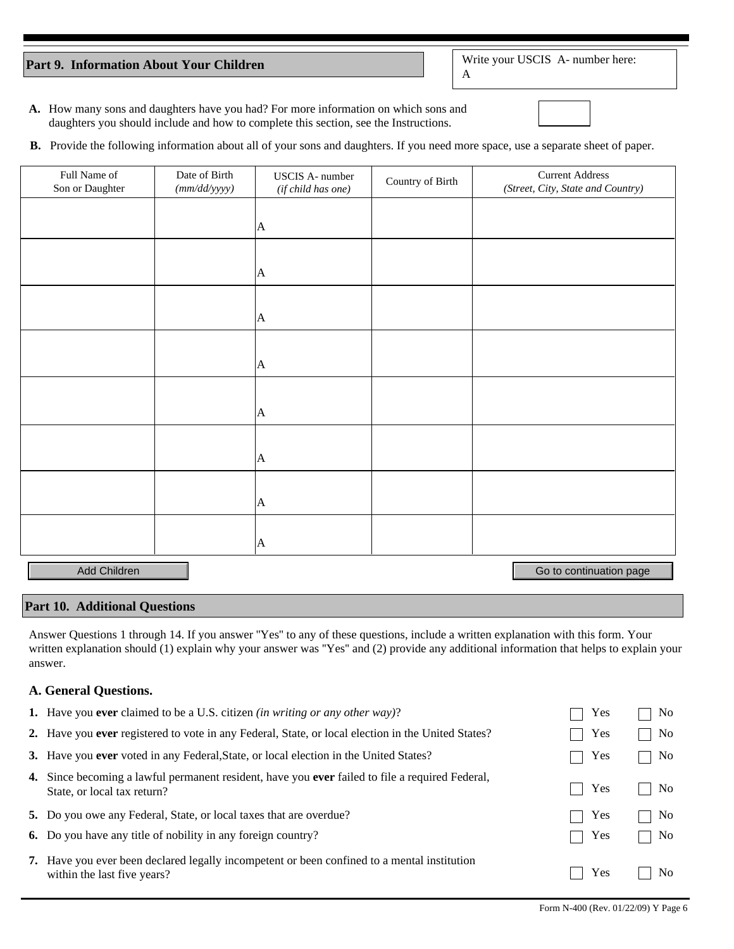### Part 9. Information About Your Children

Write your USCIS A- number here:

 $\mathbf{A}$ 

- A. How many sons and daughters have you had? For more information on which sons and daughters you should include and how to complete this section, see the Instructions.
- **B.** Provide the following information about all of your sons and daughters. If you need more space, use a separate sheet of paper.

| Full Name of<br>Son or Daughter | Date of Birth<br>(mm/dd/yyyy) | <b>USCIS A-</b> number<br>(if child has one) | Country of Birth | <b>Current Address</b><br>(Street, City, State and Country) |
|---------------------------------|-------------------------------|----------------------------------------------|------------------|-------------------------------------------------------------|
|                                 |                               | $\mathsf{A}$                                 |                  |                                                             |
|                                 |                               |                                              |                  |                                                             |
|                                 |                               | $\vert A \vert$                              |                  |                                                             |
|                                 |                               | $\mathbf{A}$                                 |                  |                                                             |
|                                 |                               |                                              |                  |                                                             |
|                                 |                               | $\mathbf{A}$                                 |                  |                                                             |
|                                 |                               |                                              |                  |                                                             |
|                                 |                               | $\mathbf{A}$                                 |                  |                                                             |
|                                 |                               |                                              |                  |                                                             |
|                                 |                               | $\mathbf{A}$                                 |                  |                                                             |
|                                 |                               |                                              |                  |                                                             |
|                                 |                               | $\mathbf{A}$                                 |                  |                                                             |
|                                 |                               |                                              |                  |                                                             |
|                                 |                               | $\mathbf{A}$                                 |                  |                                                             |
| Add Children                    |                               |                                              |                  | Go to continuation page                                     |

# **Part 10. Additional Questions**

Answer Questions 1 through 14. If you answer "Yes" to any of these questions, include a written explanation with this form. Your written explanation should (1) explain why your answer was "Yes" and (2) provide any additional information that helps to explain your answer.

## A. General Questions.

| <b>1.</b> Have you <b>ever</b> claimed to be a U.S. citizen <i>(in writing or any other way)</i> ?                                           | Yes | No.            |
|----------------------------------------------------------------------------------------------------------------------------------------------|-----|----------------|
| 2. Have you ever registered to vote in any Federal, State, or local election in the United States?                                           | Yes | N <sub>0</sub> |
| 3. Have you ever voted in any Federal, State, or local election in the United States?                                                        | Yes | No.            |
| <b>4.</b> Since becoming a lawful permanent resident, have you <b>ever</b> failed to file a required Federal,<br>State, or local tax return? | Yes | No.            |
| 5. Do you owe any Federal, State, or local taxes that are overdue?                                                                           | Yes | No.            |
| <b>6.</b> Do you have any title of nobility in any foreign country?                                                                          | Yes | No             |
| 7. Have you ever been declared legally incompetent or been confined to a mental institution<br>within the last five years?                   | Yes | No.            |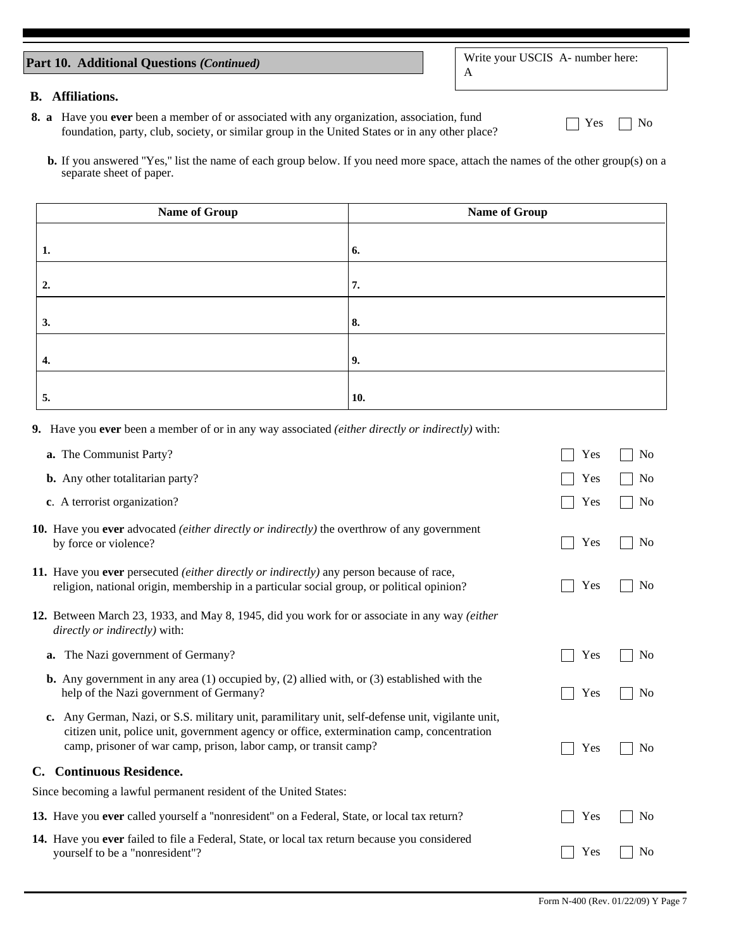# Part 10. Additional Questions (Continued)

# **B.** Affiliations.

- 8. a Have you ever been a member of or associated with any organization, association, fund foundation, party, club, society, or similar group in the United States or in any other place?
	- **b.** If you answered "Yes," list the name of each group below. If you need more space, attach the names of the other group(s) on a separate sheet of paper.

| Name of Group | <b>Name of Group</b> |  |
|---------------|----------------------|--|
|               |                      |  |
| 1.            | 6.                   |  |
|               |                      |  |
| 2.            | 7.                   |  |
|               |                      |  |
| 3.            | 8.                   |  |
|               |                      |  |
| 4.            | 9.                   |  |
|               |                      |  |
| 5.            | 10.                  |  |

9. Have you ever been a member of or in any way associated (either directly or indirectly) with:

| a. The Communist Party?                                                                                                                                                                                                                                            | Yes | No             |
|--------------------------------------------------------------------------------------------------------------------------------------------------------------------------------------------------------------------------------------------------------------------|-----|----------------|
| b. Any other totalitarian party?                                                                                                                                                                                                                                   | Yes | N <sub>0</sub> |
| c. A terrorist organization?                                                                                                                                                                                                                                       | Yes | N <sub>0</sub> |
| <b>10.</b> Have you ever advocated <i>(either directly or indirectly)</i> the overthrow of any government<br>by force or violence?                                                                                                                                 | Yes | N <sub>0</sub> |
| 11. Have you ever persecuted <i>(either directly or indirectly)</i> any person because of race,<br>religion, national origin, membership in a particular social group, or political opinion?                                                                       | Yes | No             |
| 12. Between March 23, 1933, and May 8, 1945, did you work for or associate in any way (either<br>directly or indirectly) with:                                                                                                                                     |     |                |
| a. The Nazi government of Germany?                                                                                                                                                                                                                                 | Yes | No             |
| <b>b.</b> Any government in any area $(1)$ occupied by, $(2)$ allied with, or $(3)$ established with the<br>help of the Nazi government of Germany?                                                                                                                | Yes | N <sub>0</sub> |
| c. Any German, Nazi, or S.S. military unit, paramilitary unit, self-defense unit, vigilante unit,<br>citizen unit, police unit, government agency or office, extermination camp, concentration<br>camp, prisoner of war camp, prison, labor camp, or transit camp? | Yes | No             |
| C. Continuous Residence.                                                                                                                                                                                                                                           |     |                |
| Since becoming a lawful permanent resident of the United States:                                                                                                                                                                                                   |     |                |
| 13. Have you ever called yourself a "nonresident" on a Federal, State, or local tax return?                                                                                                                                                                        | Yes | N <sub>0</sub> |
| 14. Have you ever failed to file a Federal, State, or local tax return because you considered<br>yourself to be a "nonresident"?                                                                                                                                   | Yes | No             |

 $\Box$  Yes

 $\Box$  No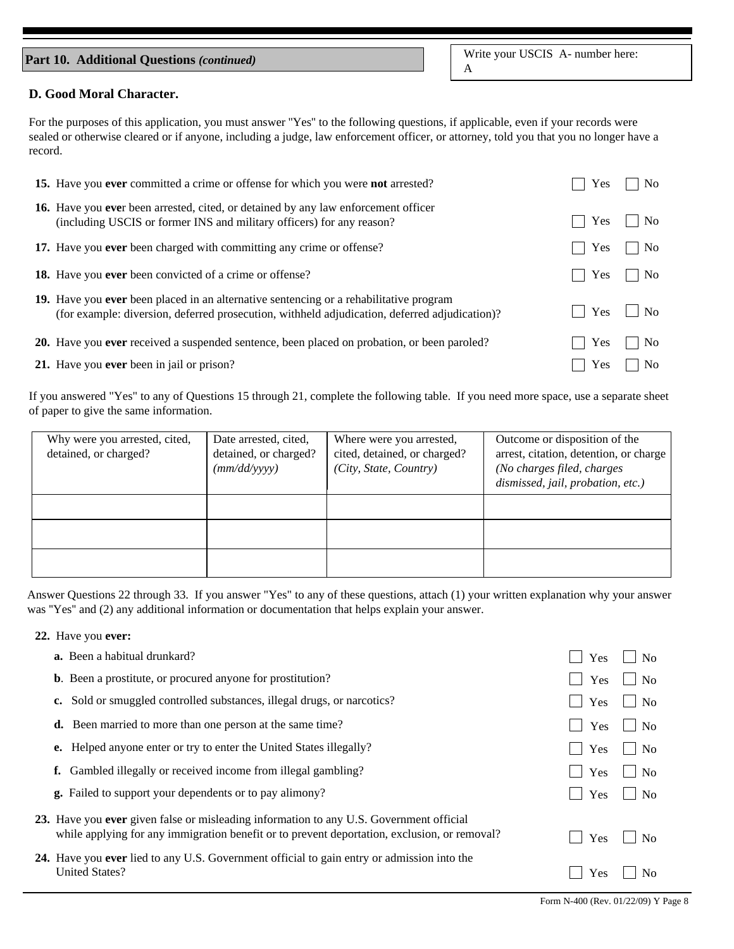# Part 10. Additional Questions (continued)

Write your USCIS A- number here:  $\mathbf{A}$ 

#### D. Good Moral Character.

For the purposes of this application, you must answer "Yes" to the following questions, if applicable, even if your records were sealed or otherwise cleared or if anyone, including a judge, law enforcement officer, or attorney, told you that you no longer have a record.

| 15. Have you ever committed a crime or offense for which you were not arrested?                                                                                                         | Yes        | N <sub>o</sub> |
|-----------------------------------------------------------------------------------------------------------------------------------------------------------------------------------------|------------|----------------|
| 16. Have you ever been arrested, cited, or detained by any law enforcement officer<br>(including USCIS or former INS and military officers) for any reason?                             | Yes        | N <sub>o</sub> |
| 17. Have you ever been charged with committing any crime or offense?                                                                                                                    | Yes        | N <sub>o</sub> |
| <b>18.</b> Have you <b>ever</b> been convicted of a crime or offense?                                                                                                                   | <b>Yes</b> | N <sub>o</sub> |
| 19. Have you ever been placed in an alternative sentencing or a rehabilitative program<br>(for example: diversion, deferred prosecution, withheld adjudication, deferred adjudication)? | Yes        | N <sub>o</sub> |
| 20. Have you ever received a suspended sentence, been placed on probation, or been paroled?                                                                                             | Yes        | No.            |
| 21. Have you ever been in jail or prison?                                                                                                                                               | Yes        | N <sub>o</sub> |

If you answered "Yes" to any of Questions 15 through 21, complete the following table. If you need more space, use a separate sheet of paper to give the same information.

| Why were you arrested, cited,<br>detained, or charged? | Date arrested, cited,<br>detained, or charged?<br>(mm/dd/vyyy) | Where were you arrested,<br>cited, detained, or charged?<br>(City, State, Country) | Outcome or disposition of the<br>arrest, citation, detention, or charge<br>(No charges filed, charges<br>dismissed, jail, probation, etc.) |
|--------------------------------------------------------|----------------------------------------------------------------|------------------------------------------------------------------------------------|--------------------------------------------------------------------------------------------------------------------------------------------|
|                                                        |                                                                |                                                                                    |                                                                                                                                            |
|                                                        |                                                                |                                                                                    |                                                                                                                                            |
|                                                        |                                                                |                                                                                    |                                                                                                                                            |

Answer Questions 22 through 33. If you answer "Yes" to any of these questions, attach (1) your written explanation why your answer was "Yes" and (2) any additional information or documentation that helps explain your answer.

#### 22. Have you ever:

| <b>a.</b> Been a habitual drunkard?                                                                                                                                                     | Yes | N <sub>0</sub> |
|-----------------------------------------------------------------------------------------------------------------------------------------------------------------------------------------|-----|----------------|
| <b>b.</b> Been a prostitute, or procured anyone for prostitution?                                                                                                                       | Yes | No             |
| c. Sold or smuggled controlled substances, illegal drugs, or narcotics?                                                                                                                 | Yes | N <sub>0</sub> |
| <b>d.</b> Been married to more than one person at the same time?                                                                                                                        | Yes | N <sub>0</sub> |
| <b>e.</b> Helped anyone enter or try to enter the United States illegally?                                                                                                              | Yes | N <sub>0</sub> |
| <b>f.</b> Gambled illegally or received income from illegal gambling?                                                                                                                   | Yes | N <sub>0</sub> |
| <b>g.</b> Failed to support your dependents or to pay alimony?                                                                                                                          | Yes | N <sub>0</sub> |
| 23. Have you ever given false or misleading information to any U.S. Government official<br>while applying for any immigration benefit or to prevent deportation, exclusion, or removal? | Yes | N <sub>0</sub> |
| 24. Have you ever lied to any U.S. Government official to gain entry or admission into the<br><b>United States?</b>                                                                     | Yes | N <sub>0</sub> |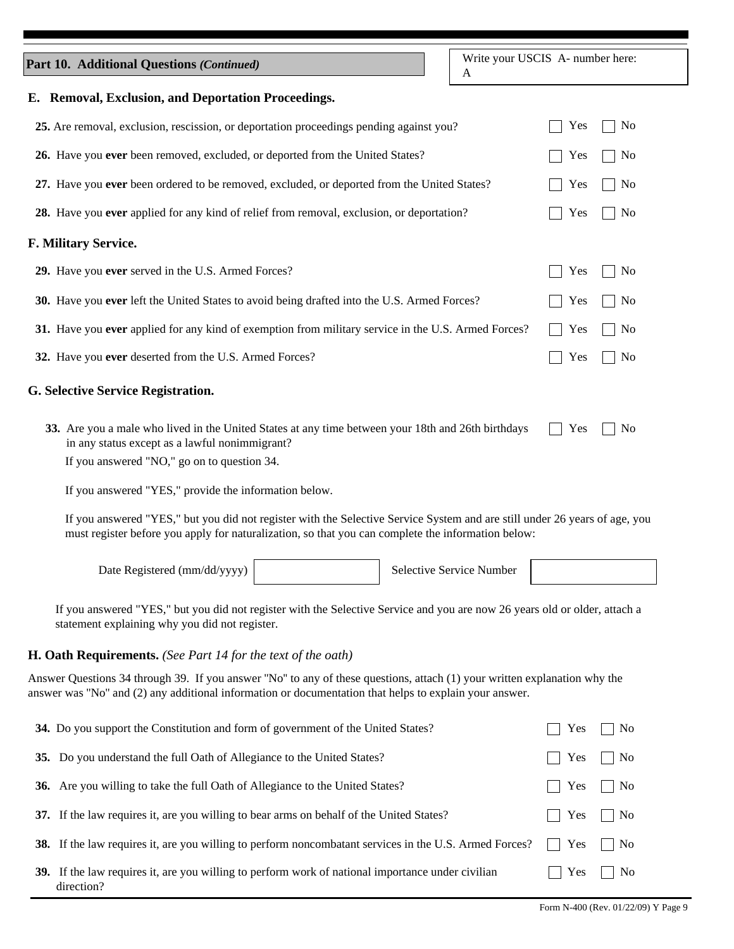| <b>Part 10. Additional Questions (Continued)</b>                                                                                                                                                                                 | Write your USCIS A- number here:<br>A |
|----------------------------------------------------------------------------------------------------------------------------------------------------------------------------------------------------------------------------------|---------------------------------------|
| E. Removal, Exclusion, and Deportation Proceedings.                                                                                                                                                                              |                                       |
| 25. Are removal, exclusion, rescission, or deportation proceedings pending against you?                                                                                                                                          | N <sub>0</sub><br>Yes                 |
| 26. Have you ever been removed, excluded, or deported from the United States?                                                                                                                                                    | N <sub>0</sub><br>Yes                 |
| 27. Have you ever been ordered to be removed, excluded, or deported from the United States?                                                                                                                                      | N <sub>0</sub><br>Yes                 |
| 28. Have you ever applied for any kind of relief from removal, exclusion, or deportation?                                                                                                                                        | N <sub>o</sub><br>Yes                 |
| F. Military Service.                                                                                                                                                                                                             |                                       |
| 29. Have you ever served in the U.S. Armed Forces?                                                                                                                                                                               | N <sub>0</sub><br>Yes                 |
| 30. Have you ever left the United States to avoid being drafted into the U.S. Armed Forces?                                                                                                                                      | N <sub>0</sub><br>Yes                 |
| 31. Have you ever applied for any kind of exemption from military service in the U.S. Armed Forces?                                                                                                                              | N <sub>0</sub><br>Yes                 |
| 32. Have you ever deserted from the U.S. Armed Forces?                                                                                                                                                                           | N <sub>0</sub><br>Yes                 |
| <b>G. Selective Service Registration.</b>                                                                                                                                                                                        |                                       |
| 33. Are you a male who lived in the United States at any time between your 18th and 26th birthdays<br>in any status except as a lawful nonimmigrant?                                                                             | Yes<br>No                             |
| If you answered "NO," go on to question 34.                                                                                                                                                                                      |                                       |
| If you answered "YES," provide the information below.                                                                                                                                                                            |                                       |
| If you answered "YES," but you did not register with the Selective Service System and are still under 26 years of age, you<br>must register before you apply for naturalization, so that you can complete the information below: |                                       |
| Date Registered (mm/dd/yyyy)                                                                                                                                                                                                     | Selective Service Number              |

If you answered "YES," but you did not register with the Selective Service and you are now 26 years old or older, attach a statement explaining why you did not register.

# H. Oath Requirements. (See Part 14 for the text of the oath)

Answer Questions 34 through 39. If you answer "No" to any of these questions, attach (1) your written explanation why the answer was "No" and (2) any additional information or documentation that helps to explain your answer.

| 34. Do you support the Constitution and form of government of the United States?                                | Yes                  | $\overline{\phantom{a}}$ No |
|-----------------------------------------------------------------------------------------------------------------|----------------------|-----------------------------|
| 35. Do you understand the full Oath of Allegiance to the United States?                                         | $\vert$ Yes          | $\vert$   No                |
| 36. Are you willing to take the full Oath of Allegiance to the United States?                                   | $\mid$ Yes $\mid$ No |                             |
| 37. If the law requires it, are you willing to bear arms on behalf of the United States?                        | $\mid$   Yes     No  |                             |
| <b>38.</b> If the law requires it, are you willing to perform noncombatant services in the U.S. Armed Forces?   | $\vert$ Yes          | $\vert$ $\vert$ No          |
| 39. If the law requires it, are you willing to perform work of national importance under civilian<br>direction? | Yes                  | $\overline{N}$              |